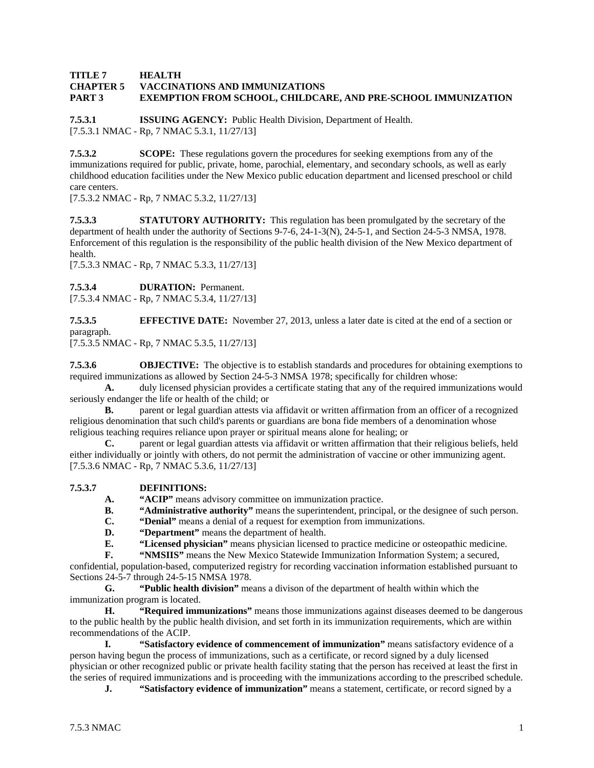## **TITLE 7 HEALTH CHAPTER 5 VACCINATIONS AND IMMUNIZATIONS PART 3 EXEMPTION FROM SCHOOL, CHILDCARE, AND PRE-SCHOOL IMMUNIZATION**

**7.5.3.1 ISSUING AGENCY:** Public Health Division, Department of Health. [7.5.3.1 NMAC - Rp, 7 NMAC 5.3.1, 11/27/13]

**7.5.3.2 SCOPE:** These regulations govern the procedures for seeking exemptions from any of the immunizations required for public, private, home, parochial, elementary, and secondary schools, as well as early childhood education facilities under the New Mexico public education department and licensed preschool or child care centers.

[7.5.3.2 NMAC - Rp, 7 NMAC 5.3.2, 11/27/13]

**7.5.3.3 STATUTORY AUTHORITY:** This regulation has been promulgated by the secretary of the department of health under the authority of Sections 9-7-6, 24-1-3(N), 24-5-1, and Section 24-5-3 NMSA, 1978. Enforcement of this regulation is the responsibility of the public health division of the New Mexico department of health.

[7.5.3.3 NMAC - Rp, 7 NMAC 5.3.3, 11/27/13]

**7.5.3.4 DURATION:** Permanent.

[7.5.3.4 NMAC - Rp, 7 NMAC 5.3.4, 11/27/13]

**7.5.3.5 EFFECTIVE DATE:** November 27, 2013, unless a later date is cited at the end of a section or paragraph.

[7.5.3.5 NMAC - Rp, 7 NMAC 5.3.5, 11/27/13]

**7.5.3.6 OBJECTIVE:** The objective is to establish standards and procedures for obtaining exemptions to required immunizations as allowed by Section 24-5-3 NMSA 1978; specifically for children whose:

**A.** duly licensed physician provides a certificate stating that any of the required immunizations would seriously endanger the life or health of the child; or

**B.** parent or legal guardian attests via affidavit or written affirmation from an officer of a recognized religious denomination that such child's parents or guardians are bona fide members of a denomination whose religious teaching requires reliance upon prayer or spiritual means alone for healing; or

**C.** parent or legal guardian attests via affidavit or written affirmation that their religious beliefs, held either individually or jointly with others, do not permit the administration of vaccine or other immunizing agent. [7.5.3.6 NMAC - Rp, 7 NMAC 5.3.6, 11/27/13]

## **7.5.3.7 DEFINITIONS:**

- **A. "ACIP"** means advisory committee on immunization practice.
- **B.** "Administrative authority" means the superintendent, principal, or the designee of such person.
- **C. "Denial"** means a denial of a request for exemption from immunizations.
- **D. "Department"** means the department of health.

**E. "Licensed physician"** means physician licensed to practice medicine or osteopathic medicine.

**F.** "**WIMSIIS**" means the New Mexico Statewide Immunization Information System; a secured,

confidential, population-based, computerized registry for recording vaccination information established pursuant to Sections 24-5-7 through 24-5-15 NMSA 1978.

 **G. "Public health division"** means a divison of the department of health within which the immunization program is located.

 **H. "Required immunizations"** means those immunizations against diseases deemed to be dangerous to the public health by the public health division, and set forth in its immunization requirements, which are within recommendations of the ACIP.

 **I. "Satisfactory evidence of commencement of immunization"** means satisfactory evidence of a person having begun the process of immunizations, such as a certificate, or record signed by a duly licensed physician or other recognized public or private health facility stating that the person has received at least the first in the series of required immunizations and is proceeding with the immunizations according to the prescribed schedule.

**J. "Satisfactory evidence of immunization"** means a statement, certificate, or record signed by a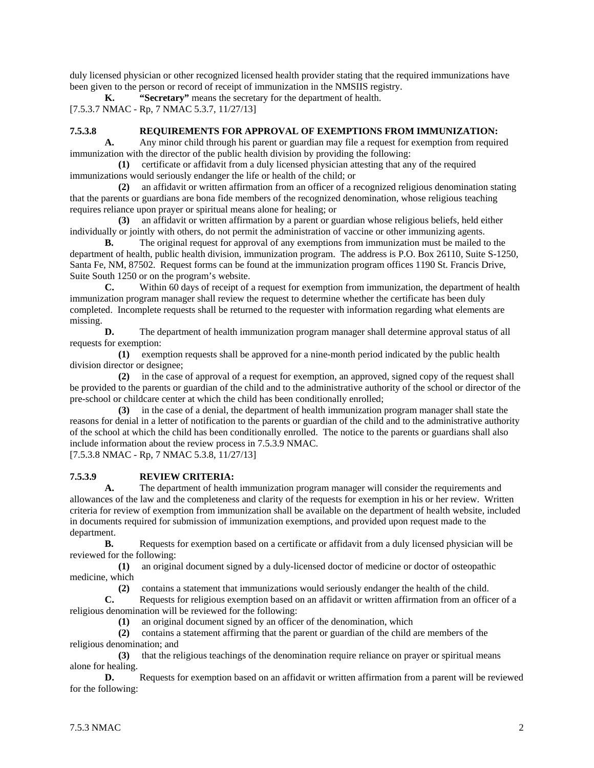duly licensed physician or other recognized licensed health provider stating that the required immunizations have been given to the person or record of receipt of immunization in the NMSIIS registry.

**K. "Secretary"** means the secretary for the department of health. [7.5.3.7 NMAC - Rp, 7 NMAC 5.3.7, 11/27/13]

#### **7.5.3.8 REQUIREMENTS FOR APPROVAL OF EXEMPTIONS FROM IMMUNIZATION:**

**A.** Any minor child through his parent or guardian may file a request for exemption from required immunization with the director of the public health division by providing the following:

 **(1)** certificate or affidavit from a duly licensed physician attesting that any of the required immunizations would seriously endanger the life or health of the child; or

 **(2)** an affidavit or written affirmation from an officer of a recognized religious denomination stating that the parents or guardians are bona fide members of the recognized denomination, whose religious teaching requires reliance upon prayer or spiritual means alone for healing; or

 **(3)** an affidavit or written affirmation by a parent or guardian whose religious beliefs, held either individually or jointly with others, do not permit the administration of vaccine or other immunizing agents.

**B.** The original request for approval of any exemptions from immunization must be mailed to the department of health, public health division, immunization program. The address is P.O. Box 26110, Suite S-1250, Santa Fe, NM, 87502. Request forms can be found at the immunization program offices 1190 St. Francis Drive, Suite South 1250 or on the program's website.

**C.** Within 60 days of receipt of a request for exemption from immunization, the department of health immunization program manager shall review the request to determine whether the certificate has been duly completed. Incomplete requests shall be returned to the requester with information regarding what elements are missing.

**D.** The department of health immunization program manager shall determine approval status of all requests for exemption:

 **(1)** exemption requests shall be approved for a nine-month period indicated by the public health division director or designee;

 **(2)** in the case of approval of a request for exemption, an approved, signed copy of the request shall be provided to the parents or guardian of the child and to the administrative authority of the school or director of the pre-school or childcare center at which the child has been conditionally enrolled;

 **(3)** in the case of a denial, the department of health immunization program manager shall state the reasons for denial in a letter of notification to the parents or guardian of the child and to the administrative authority of the school at which the child has been conditionally enrolled. The notice to the parents or guardians shall also include information about the review process in 7.5.3.9 NMAC.

[7.5.3.8 NMAC - Rp, 7 NMAC 5.3.8, 11/27/13]

## **7.5.3.9 REVIEW CRITERIA:**

**A.** The department of health immunization program manager will consider the requirements and allowances of the law and the completeness and clarity of the requests for exemption in his or her review. Written criteria for review of exemption from immunization shall be available on the department of health website, included in documents required for submission of immunization exemptions, and provided upon request made to the department.

**B.** Requests for exemption based on a certificate or affidavit from a duly licensed physician will be reviewed for the following:

 **(1)** an original document signed by a duly-licensed doctor of medicine or doctor of osteopathic medicine, which

**(2)** contains a statement that immunizations would seriously endanger the health of the child.<br> **C.** Requests for religious exemption based on an affidavit or written affirmation from an offic

**C.** Requests for religious exemption based on an affidavit or written affirmation from an officer of a religious denomination will be reviewed for the following:

**(1)** an original document signed by an officer of the denomination, which contains a statement affirming that the parent or guardian of the child a

 **(2)** contains a statement affirming that the parent or guardian of the child are members of the religious denomination; and

 **(3)** that the religious teachings of the denomination require reliance on prayer or spiritual means alone for healing.

**D.** Requests for exemption based on an affidavit or written affirmation from a parent will be reviewed for the following: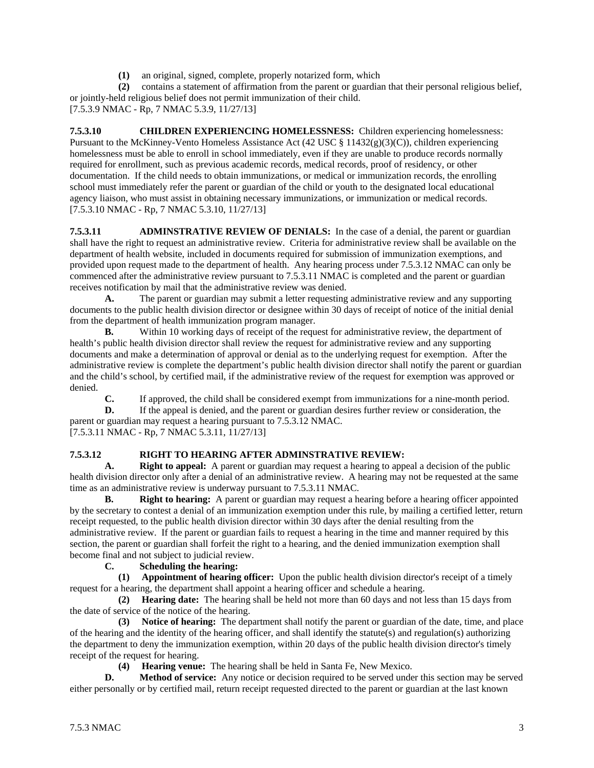**(1)** an original, signed, complete, properly notarized form, which

 **(2)** contains a statement of affirmation from the parent or guardian that their personal religious belief, or jointly-held religious belief does not permit immunization of their child. [7.5.3.9 NMAC - Rp, 7 NMAC 5.3.9, 11/27/13]

**7.5.3.10 CHILDREN EXPERIENCING HOMELESSNESS:** Children experiencing homelessness: Pursuant to the McKinney-Vento Homeless Assistance Act (42 USC § 11432(g)(3)(C)), children experiencing homelessness must be able to enroll in school immediately, even if they are unable to produce records normally required for enrollment, such as previous academic records, medical records, proof of residency, or other documentation. If the child needs to obtain immunizations, or medical or immunization records, the enrolling school must immediately refer the parent or guardian of the child or youth to the designated local educational agency liaison, who must assist in obtaining necessary immunizations, or immunization or medical records. [7.5.3.10 NMAC - Rp, 7 NMAC 5.3.10, 11/27/13]

**7.5.3.11 ADMINSTRATIVE REVIEW OF DENIALS:** In the case of a denial, the parent or guardian shall have the right to request an administrative review. Criteria for administrative review shall be available on the department of health website, included in documents required for submission of immunization exemptions, and provided upon request made to the department of health. Any hearing process under 7.5.3.12 NMAC can only be commenced after the administrative review pursuant to 7.5.3.11 NMAC is completed and the parent or guardian receives notification by mail that the administrative review was denied.

**A.** The parent or guardian may submit a letter requesting administrative review and any supporting documents to the public health division director or designee within 30 days of receipt of notice of the initial denial from the department of health immunization program manager.

**B.** Within 10 working days of receipt of the request for administrative review, the department of health's public health division director shall review the request for administrative review and any supporting documents and make a determination of approval or denial as to the underlying request for exemption. After the administrative review is complete the department's public health division director shall notify the parent or guardian and the child's school, by certified mail, if the administrative review of the request for exemption was approved or denied.

**C.** If approved, the child shall be considered exempt from immunizations for a nine-month period.

**D.** If the appeal is denied, and the parent or guardian desires further review or consideration, the parent or guardian may request a hearing pursuant to 7.5.3.12 NMAC. [7.5.3.11 NMAC - Rp, 7 NMAC 5.3.11, 11/27/13]

# **7.5.3.12 RIGHT TO HEARING AFTER ADMINSTRATIVE REVIEW:**

 **A. Right to appeal:** A parent or guardian may request a hearing to appeal a decision of the public health division director only after a denial of an administrative review. A hearing may not be requested at the same time as an administrative review is underway pursuant to 7.5.3.11 NMAC.

**B.** Right to hearing: A parent or guardian may request a hearing before a hearing officer appointed by the secretary to contest a denial of an immunization exemption under this rule, by mailing a certified letter, return receipt requested, to the public health division director within 30 days after the denial resulting from the administrative review. If the parent or guardian fails to request a hearing in the time and manner required by this section, the parent or guardian shall forfeit the right to a hearing, and the denied immunization exemption shall become final and not subject to judicial review.

 **C. Scheduling the hearing:**

 **(1) Appointment of hearing officer:** Upon the public health division director's receipt of a timely request for a hearing, the department shall appoint a hearing officer and schedule a hearing.

 **(2) Hearing date:** The hearing shall be held not more than 60 days and not less than 15 days from the date of service of the notice of the hearing.

 **(3) Notice of hearing:** The department shall notify the parent or guardian of the date, time, and place of the hearing and the identity of the hearing officer, and shall identify the statute(s) and regulation(s) authorizing the department to deny the immunization exemption, within 20 days of the public health division director's timely receipt of the request for hearing.

**(4) Hearing venue:** The hearing shall be held in Santa Fe, New Mexico.

**D.** Method of service: Any notice or decision required to be served under this section may be served either personally or by certified mail, return receipt requested directed to the parent or guardian at the last known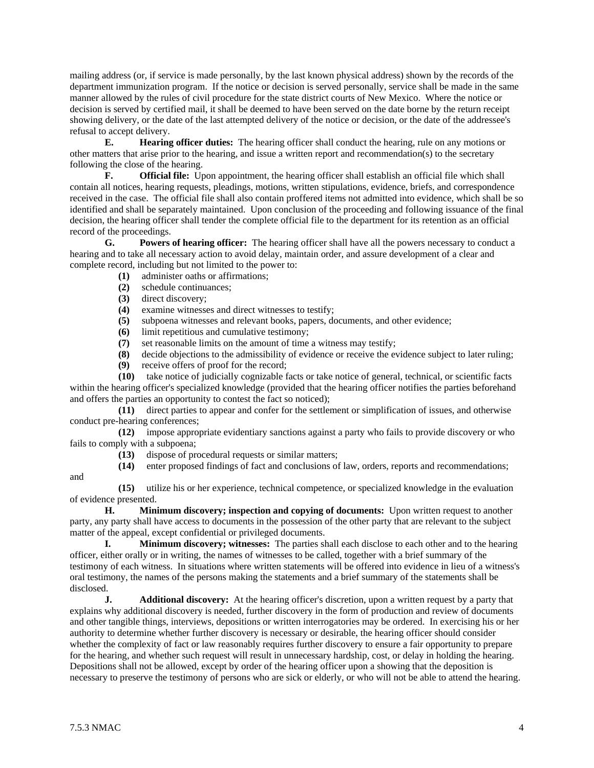mailing address (or, if service is made personally, by the last known physical address) shown by the records of the department immunization program. If the notice or decision is served personally, service shall be made in the same manner allowed by the rules of civil procedure for the state district courts of New Mexico. Where the notice or decision is served by certified mail, it shall be deemed to have been served on the date borne by the return receipt showing delivery, or the date of the last attempted delivery of the notice or decision, or the date of the addressee's refusal to accept delivery.

 **E. Hearing officer duties:** The hearing officer shall conduct the hearing, rule on any motions or other matters that arise prior to the hearing, and issue a written report and recommendation(s) to the secretary following the close of the hearing.

**F. Official file:** Upon appointment, the hearing officer shall establish an official file which shall contain all notices, hearing requests, pleadings, motions, written stipulations, evidence, briefs, and correspondence received in the case. The official file shall also contain proffered items not admitted into evidence, which shall be so identified and shall be separately maintained. Upon conclusion of the proceeding and following issuance of the final decision, the hearing officer shall tender the complete official file to the department for its retention as an official record of the proceedings.

 **G. Powers of hearing officer:** The hearing officer shall have all the powers necessary to conduct a hearing and to take all necessary action to avoid delay, maintain order, and assure development of a clear and complete record, including but not limited to the power to:

- **(1)** administer oaths or affirmations;
- **(2)** schedule continuances;
- **(3)** direct discovery;
- **(4)** examine witnesses and direct witnesses to testify;
- **(5)** subpoena witnesses and relevant books, papers, documents, and other evidence;
- **(6)** limit repetitious and cumulative testimony;
- **(7)** set reasonable limits on the amount of time a witness may testify;
- **(8)** decide objections to the admissibility of evidence or receive the evidence subject to later ruling;
- **(9)** receive offers of proof for the record;

 **(10)** take notice of judicially cognizable facts or take notice of general, technical, or scientific facts within the hearing officer's specialized knowledge (provided that the hearing officer notifies the parties beforehand and offers the parties an opportunity to contest the fact so noticed);

 **(11)** direct parties to appear and confer for the settlement or simplification of issues, and otherwise conduct pre-hearing conferences;

 **(12)** impose appropriate evidentiary sanctions against a party who fails to provide discovery or who fails to comply with a subpoena;

- **(13)** dispose of procedural requests or similar matters;
- **(14)** enter proposed findings of fact and conclusions of law, orders, reports and recommendations;
- and

 **(15)** utilize his or her experience, technical competence, or specialized knowledge in the evaluation of evidence presented.

**H.** Minimum discovery; inspection and copying of documents: Upon written request to another party, any party shall have access to documents in the possession of the other party that are relevant to the subject matter of the appeal, except confidential or privileged documents.

**I.** Minimum discovery; witnesses: The parties shall each disclose to each other and to the hearing officer, either orally or in writing, the names of witnesses to be called, together with a brief summary of the testimony of each witness. In situations where written statements will be offered into evidence in lieu of a witness's oral testimony, the names of the persons making the statements and a brief summary of the statements shall be disclosed.

**J.** Additional discovery: At the hearing officer's discretion, upon a written request by a party that explains why additional discovery is needed, further discovery in the form of production and review of documents and other tangible things, interviews, depositions or written interrogatories may be ordered. In exercising his or her authority to determine whether further discovery is necessary or desirable, the hearing officer should consider whether the complexity of fact or law reasonably requires further discovery to ensure a fair opportunity to prepare for the hearing, and whether such request will result in unnecessary hardship, cost, or delay in holding the hearing. Depositions shall not be allowed, except by order of the hearing officer upon a showing that the deposition is necessary to preserve the testimony of persons who are sick or elderly, or who will not be able to attend the hearing.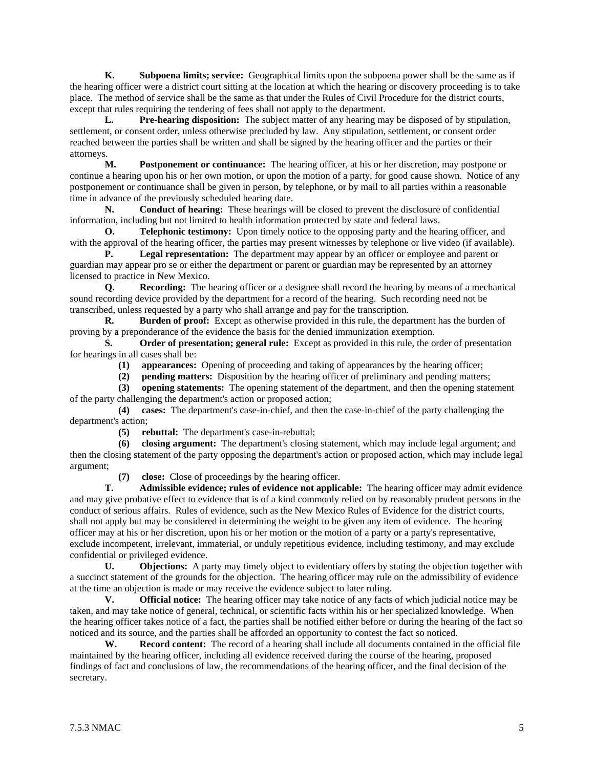**K. Subpoena limits; service:** Geographical limits upon the subpoena power shall be the same as if the hearing officer were a district court sitting at the location at which the hearing or discovery proceeding is to take place. The method of service shall be the same as that under the Rules of Civil Procedure for the district courts, except that rules requiring the tendering of fees shall not apply to the department.

 **L. Pre-hearing disposition:** The subject matter of any hearing may be disposed of by stipulation, settlement, or consent order, unless otherwise precluded by law. Any stipulation, settlement, or consent order reached between the parties shall be written and shall be signed by the hearing officer and the parties or their attorneys.

 **M. Postponement or continuance:** The hearing officer, at his or her discretion, may postpone or continue a hearing upon his or her own motion, or upon the motion of a party, for good cause shown. Notice of any postponement or continuance shall be given in person, by telephone, or by mail to all parties within a reasonable time in advance of the previously scheduled hearing date.

 **N. Conduct of hearing:** These hearings will be closed to prevent the disclosure of confidential information, including but not limited to health information protected by state and federal laws.

**O. Telephonic testimony:** Upon timely notice to the opposing party and the hearing officer, and with the approval of the hearing officer, the parties may present witnesses by telephone or live video (if available).

**P.** Legal representation: The department may appear by an officer or employee and parent or guardian may appear pro se or either the department or parent or guardian may be represented by an attorney licensed to practice in New Mexico.

 **Q. Recording:** The hearing officer or a designee shall record the hearing by means of a mechanical sound recording device provided by the department for a record of the hearing. Such recording need not be transcribed, unless requested by a party who shall arrange and pay for the transcription.

**R.** Burden of proof: Except as otherwise provided in this rule, the department has the burden of proving by a preponderance of the evidence the basis for the denied immunization exemption.

 **S. Order of presentation; general rule:** Except as provided in this rule, the order of presentation for hearings in all cases shall be:

**(1) appearances:** Opening of proceeding and taking of appearances by the hearing officer;

**(2) pending matters:** Disposition by the hearing officer of preliminary and pending matters;

 **(3) opening statements:** The opening statement of the department, and then the opening statement of the party challenging the department's action or proposed action;

 **(4) cases:** The department's case-in-chief, and then the case-in-chief of the party challenging the department's action;

**(5) rebuttal:** The department's case-in-rebuttal;

 **(6) closing argument:** The department's closing statement, which may include legal argument; and then the closing statement of the party opposing the department's action or proposed action, which may include legal argument;

**(7) close:** Close of proceedings by the hearing officer.

 **T. Admissible evidence; rules of evidence not applicable:** The hearing officer may admit evidence and may give probative effect to evidence that is of a kind commonly relied on by reasonably prudent persons in the conduct of serious affairs. Rules of evidence, such as the New Mexico Rules of Evidence for the district courts, shall not apply but may be considered in determining the weight to be given any item of evidence. The hearing officer may at his or her discretion, upon his or her motion or the motion of a party or a party's representative, exclude incompetent, irrelevant, immaterial, or unduly repetitious evidence, including testimony, and may exclude confidential or privileged evidence.

 **U. Objections:** A party may timely object to evidentiary offers by stating the objection together with a succinct statement of the grounds for the objection. The hearing officer may rule on the admissibility of evidence at the time an objection is made or may receive the evidence subject to later ruling.

 **V. Official notice:** The hearing officer may take notice of any facts of which judicial notice may be taken, and may take notice of general, technical, or scientific facts within his or her specialized knowledge. When the hearing officer takes notice of a fact, the parties shall be notified either before or during the hearing of the fact so noticed and its source, and the parties shall be afforded an opportunity to contest the fact so noticed.

 **W. Record content:** The record of a hearing shall include all documents contained in the official file maintained by the hearing officer, including all evidence received during the course of the hearing, proposed findings of fact and conclusions of law, the recommendations of the hearing officer, and the final decision of the secretary.